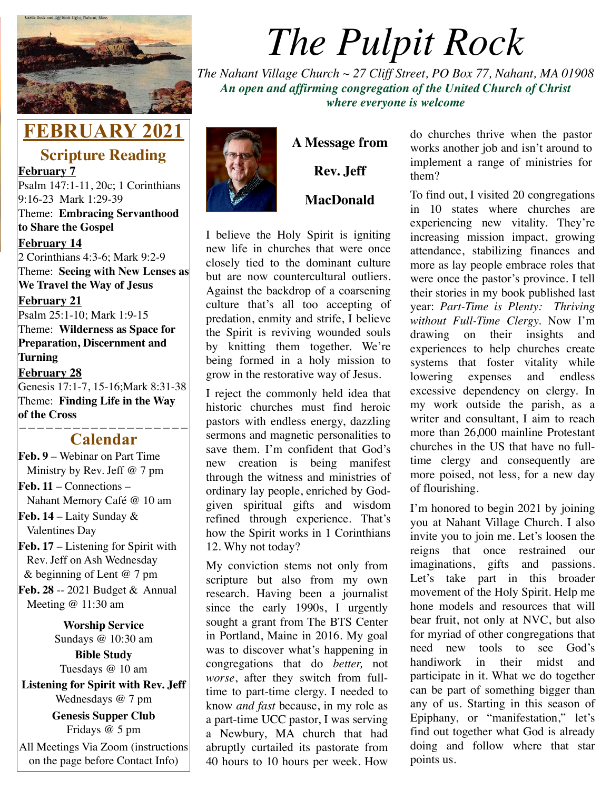

# **FEBRUARY 2021**

**Scripture Reading**

**February 7** Psalm 147:1-11, 20c; 1 Corinthians 9:16-23 Mark 1:29-39 Theme: **Embracing Servanthood to Share the Gospel February 14**

2 Corinthians 4:3-6; Mark 9:2-9 Theme: **Seeing with New Lenses as We Travel the Way of Jesus**

**February 21** Psalm 25:1-10; Mark 1:9-15 Theme: **Wilderness as Space for Preparation, Discernment and Turning**

#### **February 28**

Genesis 17:1-7, 15-16;Mark 8:31-38 Theme: **Finding Life in the Way of the Cross**

#### ——————————————————— **Calendar**

- **Feb. 9**  Webinar on Part Time Ministry by Rev. Jeff @ 7 pm
- **Feb. 11**  Connections –
- Nahant Memory Café @ 10 am
- **Feb. 14**  Laity Sunday & Valentines Day
- Feb. 17 Listening for Spirit with Rev. Jeff on Ash Wednesday & beginning of Lent @ 7 pm
- **Feb. 28** -- 2021 Budget & Annual Meeting @ 11:30 am

**Worship Service** Sundays @ 10:30 am

**Bible Study** Tuesdays @ 10 am

**Listening for Spirit with Rev. Jeff** Wednesdays @ 7 pm

**Genesis Supper Club** Fridays @ 5 pm All Meetings Via Zoom (instructions on the page before Contact Info)





*The Pulpit Rock*

**MacDonald**

I believe the Holy Spirit is igniting new life in churches that were once closely tied to the dominant culture but are now countercultural outliers. Against the backdrop of a coarsening culture that's all too accepting of predation, enmity and strife, I believe the Spirit is reviving wounded souls by knitting them together. We're being formed in a holy mission to grow in the restorative way of Jesus.

I reject the commonly held idea that historic churches must find heroic pastors with endless energy, dazzling sermons and magnetic personalities to save them. I'm confident that God's new creation is being manifest through the witness and ministries of ordinary lay people, enriched by Godgiven spiritual gifts and wisdom refined through experience. That's how the Spirit works in 1 Corinthians 12. Why not today?

My conviction stems not only from scripture but also from my own research. Having been a journalist since the early 1990s, I urgently sought a grant from The BTS Center in Portland, Maine in 2016. My goal was to discover what's happening in congregations that do *better,* not *worse*, after they switch from fulltime to part-time clergy. I needed to know *and fast* because, in my role as a part-time UCC pastor, I was serving a Newbury, MA church that had abruptly curtailed its pastorate from 40 hours to 10 hours per week. How

do churches thrive when the pastor works another job and isn't around to implement a range of ministries for them?

To find out, I visited 20 congregations in 10 states where churches are experiencing new vitality. They're increasing mission impact, growing attendance, stabilizing finances and more as lay people embrace roles that were once the pastor's province. I tell their stories in my book published last year: *Part-Time is Plenty: Thriving without Full-Time Clergy.* Now I'm drawing on their insights and experiences to help churches create systems that foster vitality while lowering expenses and endless excessive dependency on clergy. In my work outside the parish, as a writer and consultant, I aim to reach more than 26,000 mainline Protestant churches in the US that have no fulltime clergy and consequently are more poised, not less, for a new day of flourishing.

I'm honored to begin 2021 by joining you at Nahant Village Church. I also invite you to join me. Let's loosen the reigns that once restrained our imaginations, gifts and passions. Let's take part in this broader movement of the Holy Spirit. Help me hone models and resources that will bear fruit, not only at NVC, but also for myriad of other congregations that need new tools to see God's handiwork in their midst and participate in it. What we do together can be part of something bigger than any of us. Starting in this season of Epiphany, or "manifestation," let's find out together what God is already doing and follow where that star points us.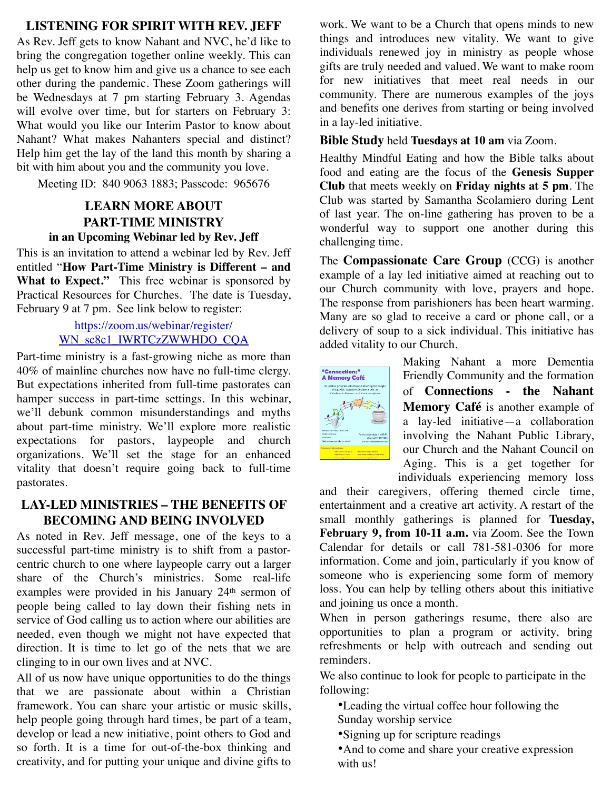### **LISTENING FOR SPIRIT WITH REV. JEFF**

As Rev. Jeff gets to know Nahant and NVC, he'd like to bring the congregation together online weekly. This can help us get to know him and give us a chance to see each other during the pandemic. These Zoom gatherings will be Wednesdays at 7 pm starting February 3. Agendas will evolve over time, but for starters on February 3: What would you like our Interim Pastor to know about Nahant? What makes Nahanters special and distinct? Help him get the lay of the land this month by sharing a bit with him about you and the community you love.

Meeting ID: 840 9063 1883; Passcode: 965676

### **LEARN MORE ABOUT PART-TIME MINISTRY in an Upcoming Webinar led by Rev. Jeff**

This is an invitation to attend a webinar led by Rev. Jeff entitled "**How Part-Time Ministry is Different – and What to Expect."** This free webinar is sponsored by Practical Resources for Churches. The date is Tuesday, February 9 at 7 pm. See link below to register:

### [https://zoom.us/webinar/register/](https://zoom.us/webinar/register/WN_sc8c1_IWRTCzZWWHDO_CQA) [WN\\_sc8c1\\_IWRTCzZWWHDO\\_CQA](https://zoom.us/webinar/register/WN_sc8c1_IWRTCzZWWHDO_CQA)

Part-time ministry is a fast-growing niche as more than 40% of mainline churches now have no full-time clergy. But expectations inherited from full-time pastorates can hamper success in part-time settings. In this webinar, we'll debunk common misunderstandings and myths about part-time ministry. We'll explore more realistic expectations for pastors, laypeople and church organizations. We'll set the stage for an enhanced vitality that doesn't require going back to full-time pastorates.

### **LAY-LED MINISTRIES – THE BENEFITS OF BECOMING AND BEING INVOLVED**

As noted in Rev. Jeff message, one of the keys to a successful part-time ministry is to shift from a pastorcentric church to one where laypeople carry out a larger share of the Church's ministries. Some real-life examples were provided in his January 24th sermon of people being called to lay down their fishing nets in service of God calling us to action where our abilities are needed, even though we might not have expected that direction. It is time to let go of the nets that we are clinging to in our own lives and at NVC.

All of us now have unique opportunities to do the things that we are passionate about within a Christian framework. You can share your artistic or music skills, help people going through hard times, be part of a team, develop or lead a new initiative, point others to God and so forth. It is a time for out-of-the-box thinking and creativity, and for putting your unique and divine gifts to

work. We want to be a Church that opens minds to new things and introduces new vitality. We want to give individuals renewed joy in ministry as people whose gifts are truly needed and valued. We want to make room for new initiatives that meet real needs in our community. There are numerous examples of the joys and benefits one derives from starting or being involved in a lay-led initiative.

**Bible Study** held **Tuesdays at 10 am** via Zoom.

Healthy Mindful Eating and how the Bible talks about food and eating are the focus of the **Genesis Supper Club** that meets weekly on **Friday nights at 5 pm**. The Club was started by Samantha Scolamiero during Lent of last year. The on-line gathering has proven to be a wonderful way to support one another during this challenging time.

The **Compassionate Care Group** (CCG) is another example of a lay led initiative aimed at reaching out to our Church community with love, prayers and hope. The response from parishioners has been heart warming. Many are so glad to receive a card or phone call, or a delivery of soup to a sick individual. This initiative has added vitality to our Church.



Making Nahant a more Dementia Friendly Community and the formation of **Connections - the Nahant Memory Café** is another example of a lay-led initiative—a collaboration involving the Nahant Public Library, our Church and the Nahant Council on Aging. This is a get together for individuals experiencing memory loss

and their caregivers, offering themed circle time, entertainment and a creative art activity. A restart of the small monthly gatherings is planned for **Tuesday, February 9, from 10-11 a.m.** via Zoom. See the Town Calendar for details or call 781-581-0306 for more information. Come and join, particularly if you know of someone who is experiencing some form of memory loss. You can help by telling others about this initiative and joining us once a month.

When in person gatherings resume, there also are opportunities to plan a program or activity, bring refreshments or help with outreach and sending out reminders.

We also continue to look for people to participate in the following:

•Leading the virtual coffee hour following the Sunday worship service

- •Signing up for scripture readings
- •And to come and share your creative expression with us!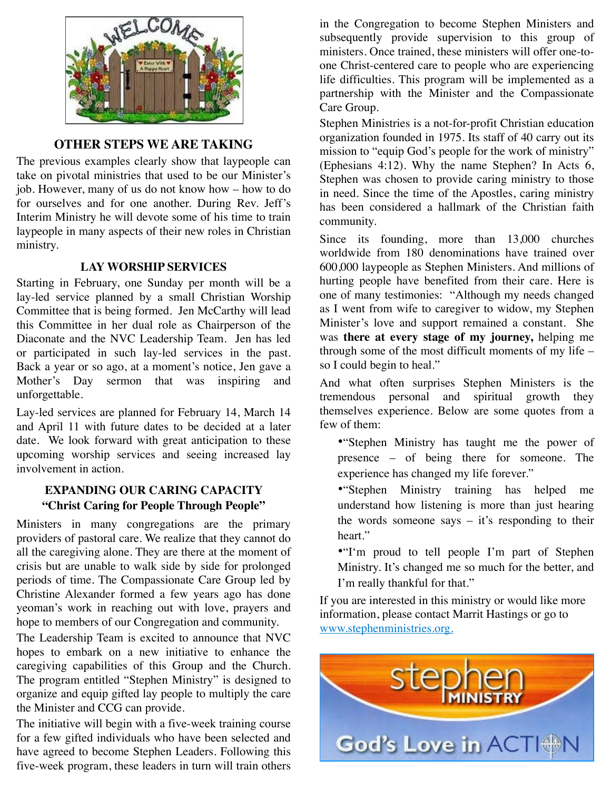

### **OTHER STEPS WE ARE TAKING**

The previous examples clearly show that laypeople can take on pivotal ministries that used to be our Minister's job. However, many of us do not know how – how to do for ourselves and for one another. During Rev. Jeff's Interim Ministry he will devote some of his time to train laypeople in many aspects of their new roles in Christian ministry.

### **LAY WORSHIP SERVICES**

Starting in February, one Sunday per month will be a lay-led service planned by a small Christian Worship Committee that is being formed. Jen McCarthy will lead this Committee in her dual role as Chairperson of the Diaconate and the NVC Leadership Team. Jen has led or participated in such lay-led services in the past. Back a year or so ago, at a moment's notice, Jen gave a Mother's Day sermon that was inspiring and unforgettable.

Lay-led services are planned for February 14, March 14 and April 11 with future dates to be decided at a later date. We look forward with great anticipation to these upcoming worship services and seeing increased lay involvement in action.

### **EXPANDING OUR CARING CAPACITY "Christ Caring for People Through People"**

Ministers in many congregations are the primary providers of pastoral care. We realize that they cannot do all the caregiving alone. They are there at the moment of crisis but are unable to walk side by side for prolonged periods of time. The Compassionate Care Group led by Christine Alexander formed a few years ago has done yeoman's work in reaching out with love, prayers and hope to members of our Congregation and community.

The Leadership Team is excited to announce that NVC hopes to embark on a new initiative to enhance the caregiving capabilities of this Group and the Church. The program entitled "Stephen Ministry" is designed to organize and equip gifted lay people to multiply the care the Minister and CCG can provide.

The initiative will begin with a five-week training course for a few gifted individuals who have been selected and have agreed to become Stephen Leaders. Following this five-week program, these leaders in turn will train others

in the Congregation to become Stephen Ministers and subsequently provide supervision to this group of ministers. Once trained, these ministers will offer one-toone Christ-centered care to people who are experiencing life difficulties. This program will be implemented as a partnership with the Minister and the Compassionate Care Group.

Stephen Ministries is a not-for-profit Christian education organization founded in 1975. Its staff of 40 carry out its mission to "equip God's people for the work of ministry" (Ephesians 4:12). Why the name Stephen? In Acts 6, Stephen was chosen to provide caring ministry to those in need. Since the time of the Apostles, caring ministry has been considered a hallmark of the Christian faith community.

Since its founding, more than 13,000 churches worldwide from 180 denominations have trained over 600,000 laypeople as Stephen Ministers. And millions of hurting people have benefited from their care. Here is one of many testimonies: "Although my needs changed as I went from wife to caregiver to widow, my Stephen Minister's love and support remained a constant. She was **there at every stage of my journey,** helping me through some of the most difficult moments of my life – so I could begin to heal."

And what often surprises Stephen Ministers is the tremendous personal and spiritual growth they themselves experience. Below are some quotes from a few of them:

- •"Stephen Ministry has taught me the power of presence – of being there for someone. The experience has changed my life forever."
- •"Stephen Ministry training has helped me understand how listening is more than just hearing the words someone says – it's responding to their heart."
- •"I'm proud to tell people I'm part of Stephen Ministry. It's changed me so much for the better, and I'm really thankful for that."

If you are interested in this ministry or would like more information, please contact Marrit Hastings or go to [www.stephenministries.org](http://www.stephenministries.org).

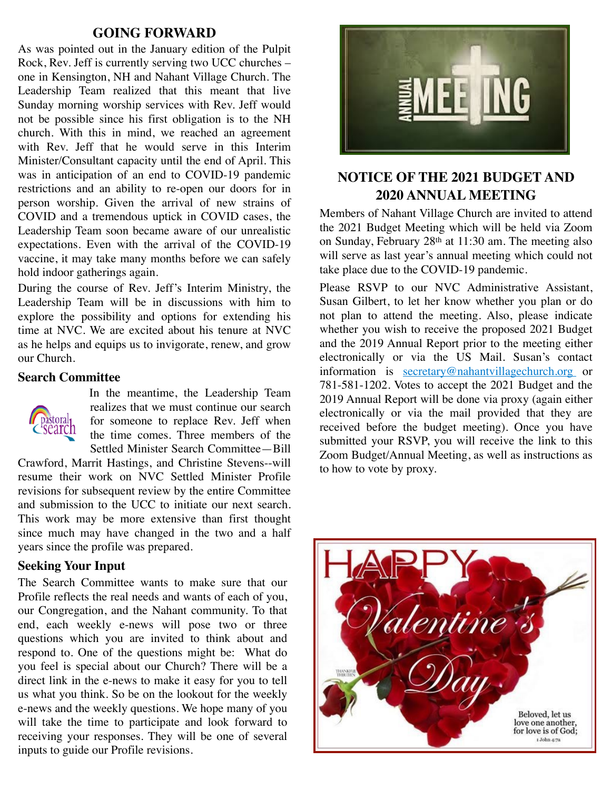### **GOING FORWARD**

As was pointed out in the January edition of the Pulpit Rock, Rev. Jeff is currently serving two UCC churches – one in Kensington, NH and Nahant Village Church. The Leadership Team realized that this meant that live Sunday morning worship services with Rev. Jeff would not be possible since his first obligation is to the NH church. With this in mind, we reached an agreement with Rev. Jeff that he would serve in this Interim Minister/Consultant capacity until the end of April. This was in anticipation of an end to COVID-19 pandemic restrictions and an ability to re-open our doors for in person worship. Given the arrival of new strains of COVID and a tremendous uptick in COVID cases, the Leadership Team soon became aware of our unrealistic expectations. Even with the arrival of the COVID-19 vaccine, it may take many months before we can safely hold indoor gatherings again.

During the course of Rev. Jeff's Interim Ministry, the Leadership Team will be in discussions with him to explore the possibility and options for extending his time at NVC. We are excited about his tenure at NVC as he helps and equips us to invigorate, renew, and grow our Church.

#### **Search Committee**



In the meantime, the Leadership Team realizes that we must continue our search for someone to replace Rev. Jeff when the time comes. Three members of the Settled Minister Search Committee—Bill

Crawford, Marrit Hastings, and Christine Stevens--will resume their work on NVC Settled Minister Profile revisions for subsequent review by the entire Committee and submission to the UCC to initiate our next search. This work may be more extensive than first thought since much may have changed in the two and a half years since the profile was prepared.

#### **Seeking Your Input**

The Search Committee wants to make sure that our Profile reflects the real needs and wants of each of you, our Congregation, and the Nahant community. To that end, each weekly e-news will pose two or three questions which you are invited to think about and respond to. One of the questions might be: What do you feel is special about our Church? There will be a direct link in the e-news to make it easy for you to tell us what you think. So be on the lookout for the weekly e-news and the weekly questions. We hope many of you will take the time to participate and look forward to receiving your responses. They will be one of several inputs to guide our Profile revisions.



### **NOTICE OF THE 2021 BUDGET AND 2020 ANNUAL MEETING**

Members of Nahant Village Church are invited to attend the 2021 Budget Meeting which will be held via Zoom on Sunday, February 28th at 11:30 am. The meeting also will serve as last year's annual meeting which could not take place due to the COVID-19 pandemic.

Please RSVP to our NVC Administrative Assistant, Susan Gilbert, to let her know whether you plan or do not plan to attend the meeting. Also, please indicate whether you wish to receive the proposed 2021 Budget and the 2019 Annual Report prior to the meeting either electronically or via the US Mail. Susan's contact information is [secretary@nahantvillagechurch.org](mailto:secretary@nahantvillagechurch.org) or 781-581-1202. Votes to accept the 2021 Budget and the 2019 Annual Report will be done via proxy (again either electronically or via the mail provided that they are received before the budget meeting). Once you have submitted your RSVP, you will receive the link to this Zoom Budget/Annual Meeting, as well as instructions as to how to vote by proxy.

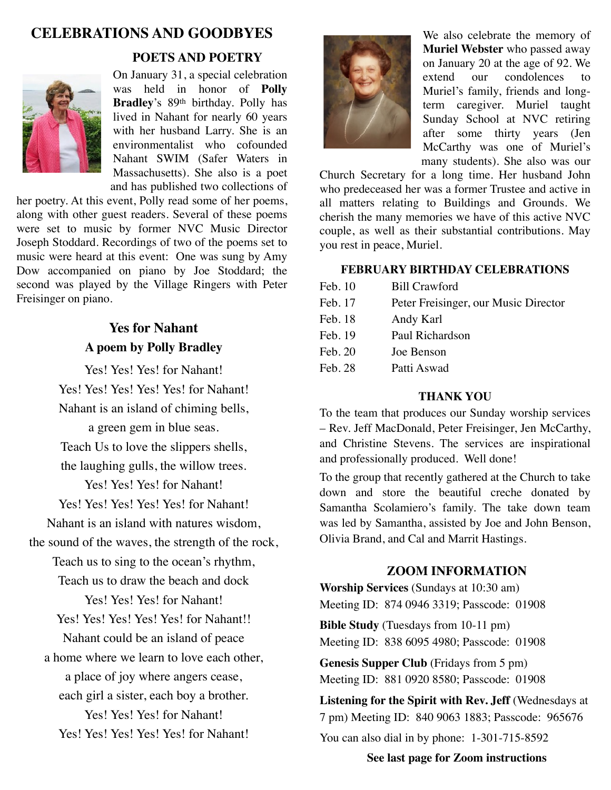### **CELEBRATIONS AND GOODBYES**



### **POETS AND POETRY**

On January 31, a special celebration was held in honor of **Polly Bradley**'s 89th birthday. Polly has lived in Nahant for nearly 60 years with her husband Larry. She is an environmentalist who cofounded Nahant SWIM (Safer Waters in Massachusetts). She also is a poet and has published two collections of

her poetry. At this event, Polly read some of her poems, along with other guest readers. Several of these poems were set to music by former NVC Music Director Joseph Stoddard. Recordings of two of the poems set to music were heard at this event: One was sung by Amy Dow accompanied on piano by Joe Stoddard; the second was played by the Village Ringers with Peter Freisinger on piano.

# **Yes for Nahant A poem by Polly Bradley**

Yes! Yes! Yes! for Nahant! Yes! Yes! Yes! Yes! Yes! for Nahant! Nahant is an island of chiming bells, a green gem in blue seas. Teach Us to love the slippers shells, the laughing gulls, the willow trees. Yes! Yes! for Nahant! Yes! Yes! Yes! Yes! Yes! for Nahant! Nahant is an island with natures wisdom, the sound of the waves, the strength of the rock, Teach us to sing to the ocean's rhythm, Teach us to draw the beach and dock Yes! Yes! Yes! for Nahant! Yes! Yes! Yes! Yes! Yes! for Nahant!! Nahant could be an island of peace a home where we learn to love each other, a place of joy where angers cease, each girl a sister, each boy a brother. Yes! Yes! Yes! for Nahant! Yes! Yes! Yes! Yes! Yes! for Nahant!



We also celebrate the memory of **Muriel Webster** who passed away on January 20 at the age of 92. We extend our condolences to Muriel's family, friends and longterm caregiver. Muriel taught Sunday School at NVC retiring after some thirty years (Jen McCarthy was one of Muriel's many students). She also was our

Church Secretary for a long time. Her husband John who predeceased her was a former Trustee and active in all matters relating to Buildings and Grounds. We cherish the many memories we have of this active NVC couple, as well as their substantial contributions. May you rest in peace, Muriel.

#### **FEBRUARY BIRTHDAY CELEBRATIONS**

| Feb. 10 | <b>Bill Crawford</b>                 |
|---------|--------------------------------------|
| Feb. 17 | Peter Freisinger, our Music Director |
| Feb. 18 | Andy Karl                            |
| Feb. 19 | Paul Richardson                      |
| Feb. 20 | Joe Benson                           |
| Feb. 28 | Patti Aswad                          |
|         |                                      |

#### **THANK YOU**

To the team that produces our Sunday worship services – Rev. Jeff MacDonald, Peter Freisinger, Jen McCarthy, and Christine Stevens. The services are inspirational and professionally produced. Well done!

To the group that recently gathered at the Church to take down and store the beautiful creche donated by Samantha Scolamiero's family. The take down team was led by Samantha, assisted by Joe and John Benson, Olivia Brand, and Cal and Marrit Hastings.

#### **ZOOM INFORMATION**

**Worship Services** (Sundays at 10:30 am) Meeting ID: 874 0946 3319; Passcode: 01908

**Bible Study** (Tuesdays from 10-11 pm) Meeting ID: 838 6095 4980; Passcode: 01908

**Genesis Supper Club** (Fridays from 5 pm) Meeting ID: 881 0920 8580; Passcode: 01908

**Listening for the Spirit with Rev. Jeff** (Wednesdays at 7 pm) Meeting ID: 840 9063 1883; Passcode: 965676

You can also dial in by phone: 1-301-715-8592

**See last page for Zoom instructions**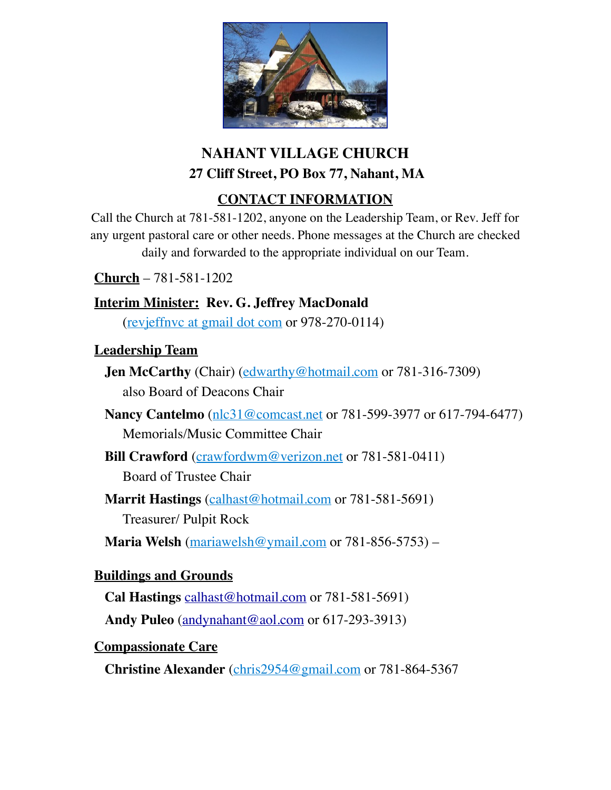

# **NAHANT VILLAGE CHURCH 27 Cliff Street, PO Box 77, Nahant, MA**

# **CONTACT INFORMATION**

Call the Church at 781-581-1202, anyone on the Leadership Team, or Rev. Jeff for any urgent pastoral care or other needs. Phone messages at the Church are checked daily and forwarded to the appropriate individual on our Team.

**Church** – 781-581-1202

## **Interim Minister: Rev. G. Jeffrey MacDonald**

([revjeffnvc at gmail dot com](mailto:revjeffnvc@gmail.com) or 978-270-0114)

### **Leadership Team**

- **Jen McCarthy** (Chair) ([edwarthy@hotmail.com](mailto:edwarthy@hotmail.com) or 781-316-7309) also Board of Deacons Chair
- **Nancy Cantelmo** [\(nlc31@comcast.net](mailto:nlc31@comcast.net) or 781-599-3977 or 617-794-6477) Memorials/Music Committee Chair
- **Bill Crawford** ([crawfordwm@verizon.net](mailto:crawfordwm@verizon.net) or 781-581-0411) Board of Trustee Chair
- **Marrit Hastings** ([calhast@hotmail.com](mailto:calhast@hotmail.com) or 781-581-5691) Treasurer/ Pulpit Rock

**Maria Welsh** [\(mariawelsh@ymail.com](mailto:mariawelsh@ymail.com) or 781-856-5753) –

## **Buildings and Grounds**

 **Cal Hastings** [calhast@hotmail.com](mailto:calhast@hotmail.com) or 781-581-5691) **Andy Puleo** ([andynahant@aol.com](mailto:andynahant@aol.com) or 617-293-3913)

### **Compassionate Care**

 **Christine Alexander** [\(chris2954@gmail.com](mailto:chris2954@gmail.com) or 781-864-5367